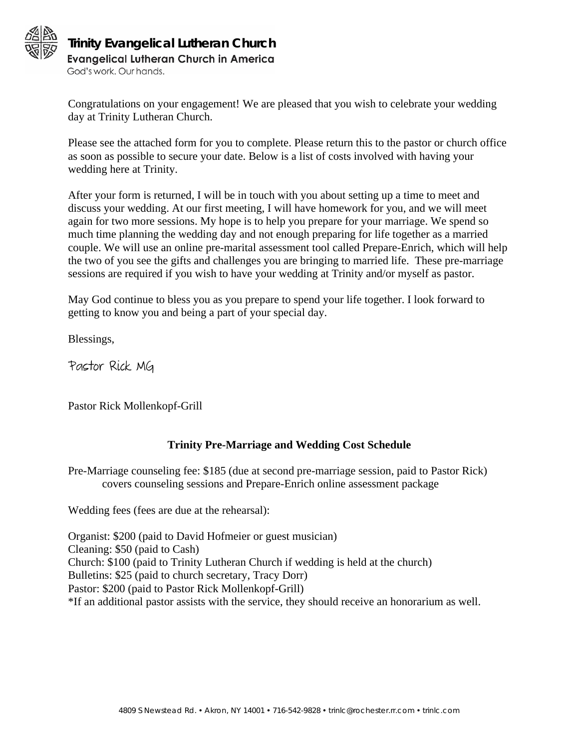

## **Trinity Evangelical Lutheran ChurchEvangelical Lutheran Church in America**

God's work, Our hands.

Congratulations on your engagement! We are pleased that you wish to celebrate your wedding day at Trinity Lutheran Church.

Please see the attached form for you to complete. Please return this to the pastor or church office as soon as possible to secure your date. Below is a list of costs involved with having your wedding here at Trinity.

After your form is returned, I will be in touch with you about setting up a time to meet and discuss your wedding. At our first meeting, I will have homework for you, and we will meet again for two more sessions. My hope is to help you prepare for your marriage. We spend so much time planning the wedding day and not enough preparing for life together as a married couple. We will use an online pre-marital assessment tool called Prepare-Enrich, which will help the two of you see the gifts and challenges you are bringing to married life. These pre-marriage sessions are required if you wish to have your wedding at Trinity and/or myself as pastor.

May God continue to bless you as you prepare to spend your life together. I look forward to getting to know you and being a part of your special day.

Blessings,

Pastor Rick MG

Pastor Rick Mollenkopf-Grill

## **Trinity Pre-Marriage and Wedding Cost Schedule**

Pre-Marriage counseling fee: \$185 (due at second pre-marriage session, paid to Pastor Rick) covers counseling sessions and Prepare-Enrich online assessment package

Wedding fees (fees are due at the rehearsal):

Organist: \$200 (paid to David Hofmeier or guest musician) Cleaning: \$50 (paid to Cash) Church: \$100 (paid to Trinity Lutheran Church if wedding is held at the church) Bulletins: \$25 (paid to church secretary, Tracy Dorr) Pastor: \$200 (paid to Pastor Rick Mollenkopf-Grill) \*If an additional pastor assists with the service, they should receive an honorarium as well.